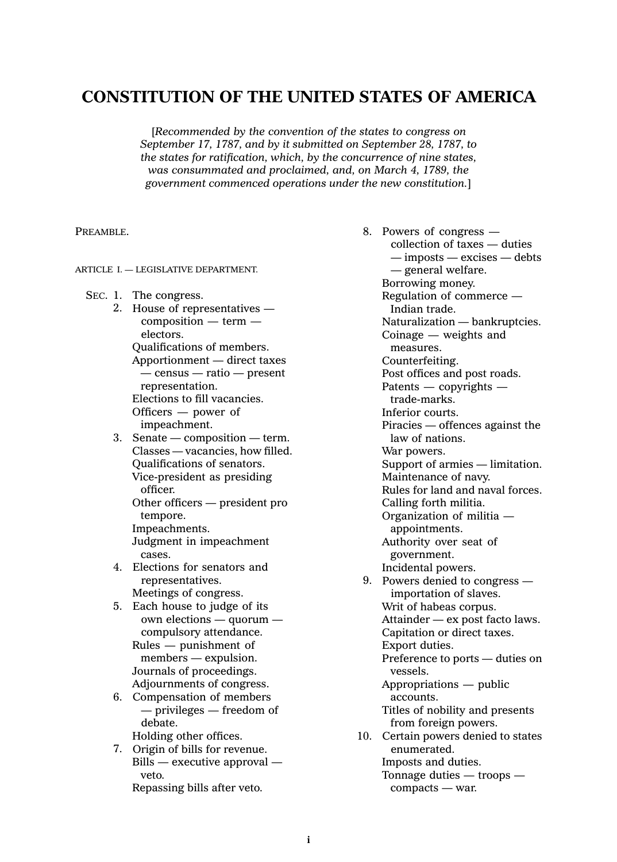# **CONSTITUTION OF THE UNITED STATES OF AMERICA**

[*Recommended by the convention of the states to congress on September 17, 1787, and by it submitted on September 28, 1787, to the states for ratification, which, by the concurrence of nine states, was consummated and proclaimed, and, on March 4, 1789, the government commenced operations under the new constitution.*]

PREAMBLE.

ARTICLE I. — LEGISLATIVE DEPARTMENT.

- SEC. 1. The congress.
	- 2. House of representatives composition — term electors. Qualifications of members. Apportionment — direct taxes — census — ratio — present representation. Elections to fill vacancies. Officers — power of impeachment.
	- 3. Senate composition term. Classes — vacancies, how filled. Qualifications of senators. Vice-president as presiding officer.

Other officers — president pro tempore. Impeachments. Judgment in impeachment

cases.

- 4. Elections for senators and representatives. Meetings of congress.
- 5. Each house to judge of its own elections — quorum compulsory attendance.
	- Rules punishment of members — expulsion. Journals of proceedings. Adjournments of congress.
- 6. Compensation of members — privileges — freedom of debate.

Holding other offices.

7. Origin of bills for revenue. Bills — executive approval veto.

Repassing bills after veto.

8. Powers of congress collection of taxes — duties — imposts — excises — debts — general welfare. Borrowing money. Regulation of commerce — Indian trade. Naturalization — bankruptcies. Coinage — weights and measures. Counterfeiting. Post offices and post roads. Patents — copyrights trade-marks. Inferior courts. Piracies — offences against the law of nations. War powers. Support of armies — limitation. Maintenance of navy. Rules for land and naval forces. Calling forth militia. Organization of militia appointments. Authority over seat of government. Incidental powers. 9. Powers denied to congress importation of slaves. Writ of habeas corpus. Attainder — ex post facto laws. Capitation or direct taxes. Export duties. Preference to ports — duties on vessels. Appropriations — public accounts. Titles of nobility and presents from foreign powers. 10. Certain powers denied to states enumerated. Imposts and duties. Tonnage duties — troops —

compacts — war.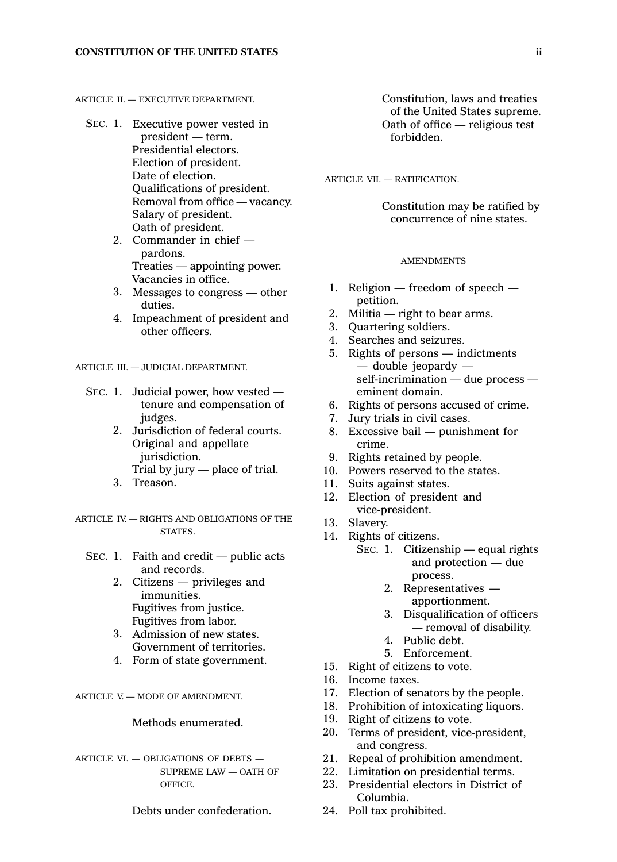## ARTICLE  $II = EXECLITIVE DEPARTMENT$ .

- SEC. 1. Executive power vested in president — term. Presidential electors. Election of president. Date of election. Qualifications of president. Removal from office — vacancy. Salary of president. Oath of president.
	- 2. Commander in chief pardons. Treaties — appointing power. Vacancies in office.
	- 3. Messages to congress other duties.
	- 4. Impeachment of president and other officers.

ARTICLE III. — JUDICIAL DEPARTMENT.

- SEC. 1. Judicial power, how vested tenure and compensation of judges.
	- 2. Jurisdiction of federal courts. Original and appellate jurisdiction. Trial by jury — place of trial.
	- 3. Treason.
- ARTICLE IV. RIGHTS AND OBLIGATIONS OF THE STATES.
	- SEC. 1. Faith and credit  $-$  public acts and records.
		- 2. Citizens privileges and immunities. Fugitives from justice. Fugitives from labor.
		- 3. Admission of new states. Government of territories.
		- 4. Form of state government.

ARTICLE V. — MODE OF AMENDMENT.

## Methods enumerated.

ARTICLE VI. - OBLIGATIONS OF DEBTS -SUPREME LAW — OATH OF OFFICE.

Debts under confederation.

Constitution, laws and treaties of the United States supreme. Oath of office — religious test forbidden.

ARTICLE VII. — RATIFICATION.

Constitution may be ratified by concurrence of nine states.

#### AMENDMENTS

- 1. Religion freedom of speech petition.
- 2. Militia  $-$  right to bear arms.
- 3. Quartering soldiers.
- 4. Searches and seizures.
- 5. Rights of persons indictments — double jeopardy self-incrimination — due process eminent domain.
- 6. Rights of persons accused of crime.
- 7. Jury trials in civil cases.
- 8. Excessive bail punishment for crime.
- 9. Rights retained by people.
- 10. Powers reserved to the states.
- 11. Suits against states.
- 12. Election of president and vice-president.
- 13. Slavery.
- 14. Rights of citizens.
	- SEC. 1. Citizenship equal rights and protection — due process.
		- 2. Representatives apportionment.
		- 3. Disqualification of officers — removal of disability.
		- 4. Public debt.
		- 5. Enforcement.
- 15. Right of citizens to vote.
- 16. Income taxes.
- 17. Election of senators by the people.
- 18. Prohibition of intoxicating liquors.
- 19. Right of citizens to vote.
- 20. Terms of president, vice-president, and congress.
- 21. Repeal of prohibition amendment.
- 22. Limitation on presidential terms.
- 23. Presidential electors in District of Columbia.
- 24. Poll tax prohibited.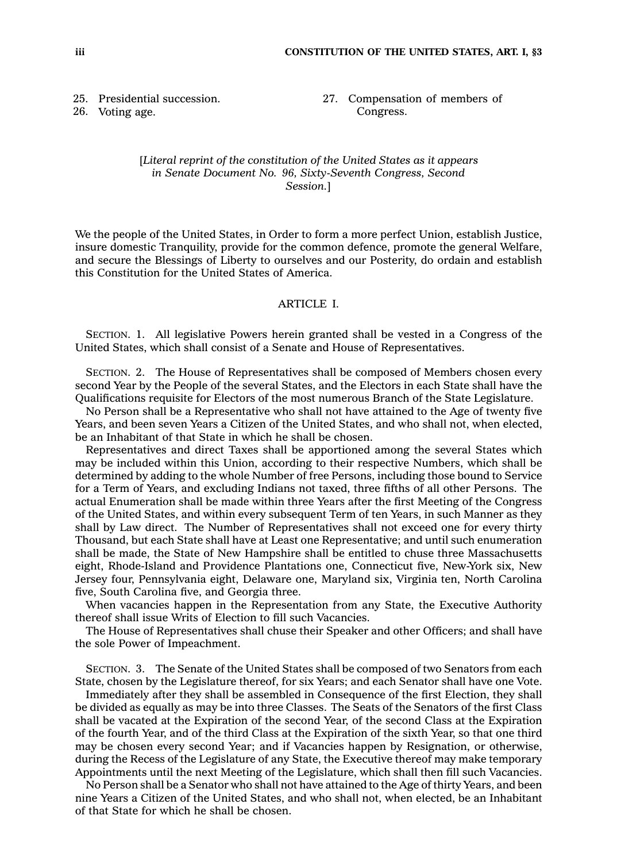25. Presidential succession.

26. Voting age.

27. Compensation of members of Congress.

## [*Literal reprint of the constitution of the United States as it appears in Senate Document No. 96, Sixty-Seventh Congress, Second Session.*]

We the people of the United States, in Order to form <sup>a</sup> more perfect Union, establish Justice, insure domestic Tranquility, provide for the common defence, promote the general Welfare, and secure the Blessings of Liberty to ourselves and our Posterity, do ordain and establish this Constitution for the United States of America.

# ARTICLE I.

SECTION. 1. All legislative Powers herein granted shall be vested in <sup>a</sup> Congress of the United States, which shall consist of <sup>a</sup> Senate and House of Representatives.

SECTION. 2. The House of Representatives shall be composed of Members chosen every second Year by the People of the several States, and the Electors in each State shall have the Qualifications requisite for Electors of the most numerous Branch of the State Legislature.

No Person shall be <sup>a</sup> Representative who shall not have attained to the Age of twenty five Years, and been seven Years <sup>a</sup> Citizen of the United States, and who shall not, when elected, be an Inhabitant of that State in which he shall be chosen.

Representatives and direct Taxes shall be apportioned among the several States which may be included within this Union, according to their respective Numbers, which shall be determined by adding to the whole Number of free Persons, including those bound to Service for <sup>a</sup> Term of Years, and excluding Indians not taxed, three fifths of all other Persons. The actual Enumeration shall be made within three Years after the first Meeting of the Congress of the United States, and within every subsequent Term of ten Years, in such Manner as they shall by Law direct. The Number of Representatives shall not exceed one for every thirty Thousand, but each State shall have at Least one Representative; and until such enumeration shall be made, the State of New Hampshire shall be entitled to chuse three Massachusetts eight, Rhode-Island and Providence Plantations one, Connecticut five, New-York six, New Jersey four, Pennsylvania eight, Delaware one, Maryland six, Virginia ten, North Carolina five, South Carolina five, and Georgia three.

When vacancies happen in the Representation from any State, the Executive Authority thereof shall issue Writs of Election to fill such Vacancies.

The House of Representatives shall chuse their Speaker and other Officers; and shall have the sole Power of Impeachment.

SECTION. 3. The Senate of the United States shall be composed of two Senators from each State, chosen by the Legislature thereof, for six Years; and each Senator shall have one Vote.

Immediately after they shall be assembled in Consequence of the first Election, they shall be divided as equally as may be into three Classes. The Seats of the Senators of the first Class shall be vacated at the Expiration of the second Year, of the second Class at the Expiration of the fourth Year, and of the third Class at the Expiration of the sixth Year, so that one third may be chosen every second Year; and if Vacancies happen by Resignation, or otherwise, during the Recess of the Legislature of any State, the Executive thereof may make temporary Appointments until the next Meeting of the Legislature, which shall then fill such Vacancies.

No Person shall be <sup>a</sup> Senator who shall not have attained to the Age of thirty Years, and been nine Years <sup>a</sup> Citizen of the United States, and who shall not, when elected, be an Inhabitant of that State for which he shall be chosen.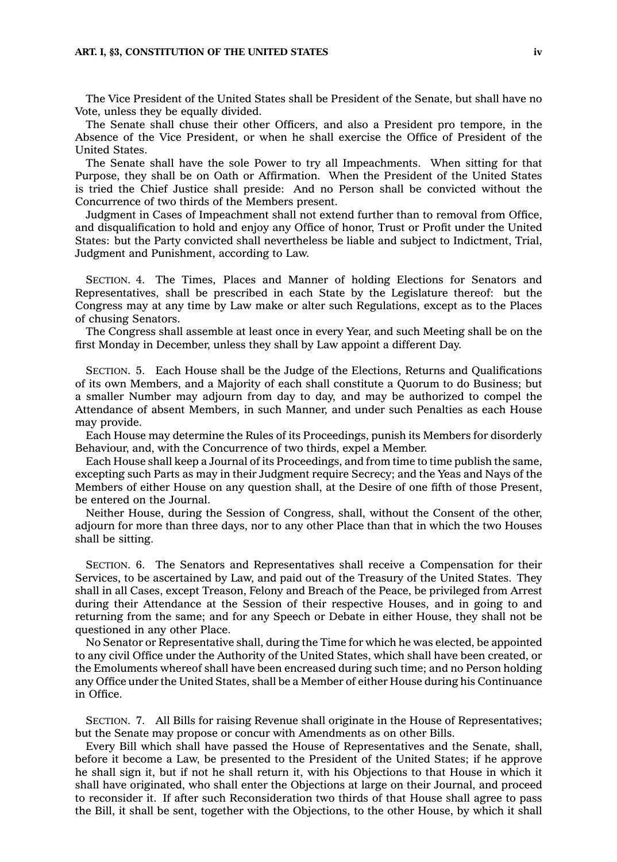#### **ART. I, §3, CONSTITUTION OF THE UNITED STATES iv**

The Vice President of the United States shall be President of the Senate, but shall have no Vote, unless they be equally divided.

The Senate shall chuse their other Officers, and also <sup>a</sup> President pro tempore, in the Absence of the Vice President, or when he shall exercise the Office of President of the United States.

The Senate shall have the sole Power to try all Impeachments. When sitting for that Purpose, they shall be on Oath or Affirmation. When the President of the United States is tried the Chief Justice shall preside: And no Person shall be convicted without the Concurrence of two thirds of the Members present.

Judgment in Cases of Impeachment shall not extend further than to removal from Office, and disqualification to hold and enjoy any Office of honor, Trust or Profit under the United States: but the Party convicted shall nevertheless be liable and subject to Indictment, Trial, Judgment and Punishment, according to Law.

SECTION. 4. The Times, Places and Manner of holding Elections for Senators and Representatives, shall be prescribed in each State by the Legislature thereof: but the Congress may at any time by Law make or alter such Regulations, except as to the Places of chusing Senators.

The Congress shall assemble at least once in every Year, and such Meeting shall be on the first Monday in December, unless they shall by Law appoint <sup>a</sup> different Day.

SECTION. 5. Each House shall be the Judge of the Elections, Returns and Qualifications of its own Members, and <sup>a</sup> Majority of each shall constitute <sup>a</sup> Quorum to do Business; but <sup>a</sup> smaller Number may adjourn from day to day, and may be authorized to compel the Attendance of absent Members, in such Manner, and under such Penalties as each House may provide.

Each House may determine the Rules of its Proceedings, punish its Members for disorderly Behaviour, and, with the Concurrence of two thirds, expel <sup>a</sup> Member.

Each House shall keep <sup>a</sup> Journal of its Proceedings, and from time to time publish the same, excepting such Parts as may in their Judgment require Secrecy; and the Yeas and Nays of the Members of either House on any question shall, at the Desire of one fifth of those Present, be entered on the Journal.

Neither House, during the Session of Congress, shall, without the Consent of the other, adjourn for more than three days, nor to any other Place than that in which the two Houses shall be sitting.

SECTION. 6. The Senators and Representatives shall receive <sup>a</sup> Compensation for their Services, to be ascertained by Law, and paid out of the Treasury of the United States. They shall in all Cases, except Treason, Felony and Breach of the Peace, be privileged from Arrest during their Attendance at the Session of their respective Houses, and in going to and returning from the same; and for any Speech or Debate in either House, they shall not be questioned in any other Place.

No Senator or Representative shall, during the Time for which he was elected, be appointed to any civil Office under the Authority of the United States, which shall have been created, or the Emoluments whereof shall have been encreased during such time; and no Person holding any Office under the United States, shall be <sup>a</sup> Member of either House during his Continuance in Office.

SECTION. 7. All Bills for raising Revenue shall originate in the House of Representatives; but the Senate may propose or concur with Amendments as on other Bills.

Every Bill which shall have passed the House of Representatives and the Senate, shall, before it become <sup>a</sup> Law, be presented to the President of the United States; if he approve he shall sign it, but if not he shall return it, with his Objections to that House in which it shall have originated, who shall enter the Objections at large on their Journal, and proceed to reconsider it. If after such Reconsideration two thirds of that House shall agree to pass the Bill, it shall be sent, together with the Objections, to the other House, by which it shall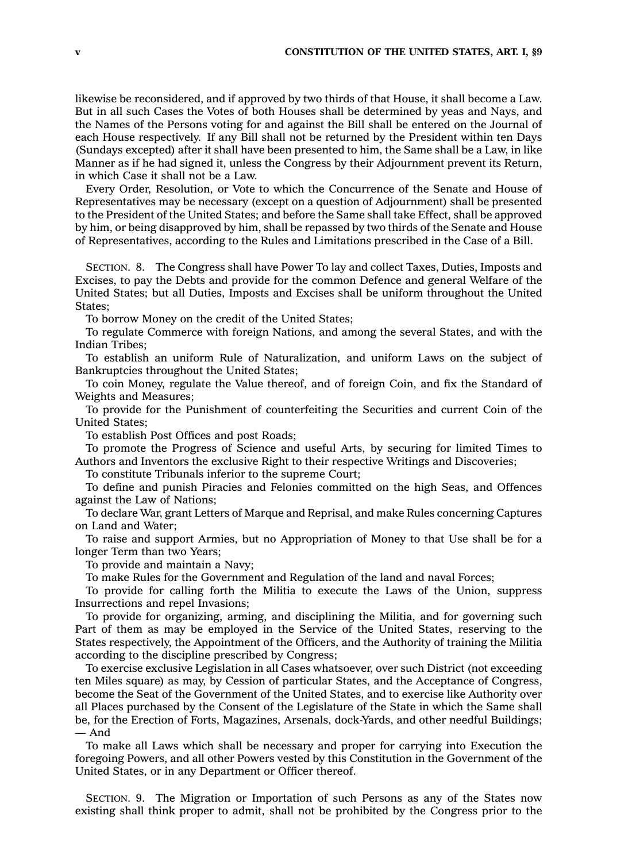likewise be reconsidered, and if approved by two thirds of that House, it shall become <sup>a</sup> Law. But in all such Cases the Votes of both Houses shall be determined by yeas and Nays, and the Names of the Persons voting for and against the Bill shall be entered on the Journal of each House respectively. If any Bill shall not be returned by the President within ten Days (Sundays excepted) after it shall have been presented to him, the Same shall be <sup>a</sup> Law, in like Manner as if he had signed it, unless the Congress by their Adjournment prevent its Return, in which Case it shall not be <sup>a</sup> Law.

Every Order, Resolution, or Vote to which the Concurrence of the Senate and House of Representatives may be necessary (except on <sup>a</sup> question of Adjournment) shall be presented to the President of the United States; and before the Same shall take Effect, shall be approved by him, or being disapproved by him, shall be repassed by two thirds of the Senate and House of Representatives, according to the Rules and Limitations prescribed in the Case of <sup>a</sup> Bill.

SECTION. 8. The Congress shall have Power To lay and collect Taxes, Duties, Imposts and Excises, to pay the Debts and provide for the common Defence and general Welfare of the United States; but all Duties, Imposts and Excises shall be uniform throughout the United States;

To borrow Money on the credit of the United States;

To regulate Commerce with foreign Nations, and among the several States, and with the Indian Tribes;

To establish an uniform Rule of Naturalization, and uniform Laws on the subject of Bankruptcies throughout the United States;

To coin Money, regulate the Value thereof, and of foreign Coin, and fix the Standard of Weights and Measures;

To provide for the Punishment of counterfeiting the Securities and current Coin of the United States;

To establish Post Offices and post Roads;

To promote the Progress of Science and useful Arts, by securing for limited Times to Authors and Inventors the exclusive Right to their respective Writings and Discoveries;

To constitute Tribunals inferior to the supreme Court;

To define and punish Piracies and Felonies committed on the high Seas, and Offences against the Law of Nations;

To declare War, grant Letters of Marque and Reprisal, and make Rules concerning Captures on Land and Water;

To raise and support Armies, but no Appropriation of Money to that Use shall be for <sup>a</sup> longer Term than two Years;

To provide and maintain <sup>a</sup> Navy;

To make Rules for the Government and Regulation of the land and naval Forces;

To provide for calling forth the Militia to execute the Laws of the Union, suppress Insurrections and repel Invasions;

To provide for organizing, arming, and disciplining the Militia, and for governing such Part of them as may be employed in the Service of the United States, reserving to the States respectively, the Appointment of the Officers, and the Authority of training the Militia according to the discipline prescribed by Congress;

To exercise exclusive Legislation in all Cases whatsoever, over such District (not exceeding ten Miles square) as may, by Cession of particular States, and the Acceptance of Congress, become the Seat of the Government of the United States, and to exercise like Authority over all Places purchased by the Consent of the Legislature of the State in which the Same shall be, for the Erection of Forts, Magazines, Arsenals, dock-Yards, and other needful Buildings; — And

To make all Laws which shall be necessary and proper for carrying into Execution the foregoing Powers, and all other Powers vested by this Constitution in the Government of the United States, or in any Department or Officer thereof.

SECTION. 9. The Migration or Importation of such Persons as any of the States now existing shall think proper to admit, shall not be prohibited by the Congress prior to the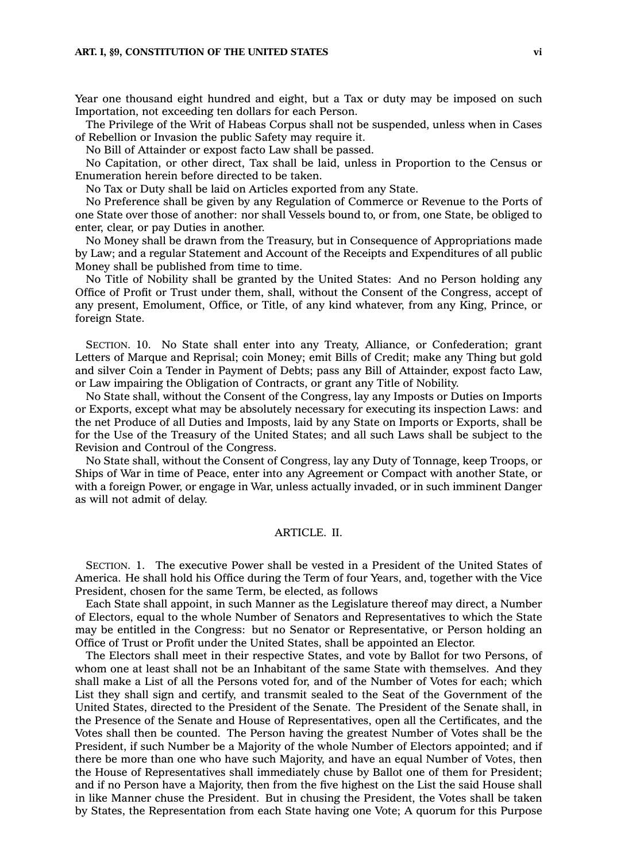#### **ART. I, §9, CONSTITUTION OF THE UNITED STATES vi**

Year one thousand eight hundred and eight, but <sup>a</sup> Tax or duty may be imposed on such Importation, not exceeding ten dollars for each Person.

The Privilege of the Writ of Habeas Corpus shall not be suspended, unless when in Cases of Rebellion or Invasion the public Safety may require it.

No Bill of Attainder or expost facto Law shall be passed.

No Capitation, or other direct, Tax shall be laid, unless in Proportion to the Census or Enumeration herein before directed to be taken.

No Tax or Duty shall be laid on Articles exported from any State.

No Preference shall be given by any Regulation of Commerce or Revenue to the Ports of one State over those of another: nor shall Vessels bound to, or from, one State, be obliged to enter, clear, or pay Duties in another.

No Money shall be drawn from the Treasury, but in Consequence of Appropriations made by Law; and <sup>a</sup> regular Statement and Account of the Receipts and Expenditures of all public Money shall be published from time to time.

No Title of Nobility shall be granted by the United States: And no Person holding any Office of Profit or Trust under them, shall, without the Consent of the Congress, accept of any present, Emolument, Office, or Title, of any kind whatever, from any King, Prince, or foreign State.

SECTION. 10. No State shall enter into any Treaty, Alliance, or Confederation; grant Letters of Marque and Reprisal; coin Money; emit Bills of Credit; make any Thing but gold and silver Coin <sup>a</sup> Tender in Payment of Debts; pass any Bill of Attainder, expost facto Law, or Law impairing the Obligation of Contracts, or grant any Title of Nobility.

No State shall, without the Consent of the Congress, lay any Imposts or Duties on Imports or Exports, except what may be absolutely necessary for executing its inspection Laws: and the net Produce of all Duties and Imposts, laid by any State on Imports or Exports, shall be for the Use of the Treasury of the United States; and all such Laws shall be subject to the Revision and Controul of the Congress.

No State shall, without the Consent of Congress, lay any Duty of Tonnage, keep Troops, or Ships of War in time of Peace, enter into any Agreement or Compact with another State, or with <sup>a</sup> foreign Power, or engage in War, unless actually invaded, or in such imminent Danger as will not admit of delay.

## ARTICLE. II.

SECTION. 1. The executive Power shall be vested in <sup>a</sup> President of the United States of America. He shall hold his Office during the Term of four Years, and, together with the Vice President, chosen for the same Term, be elected, as follows

Each State shall appoint, in such Manner as the Legislature thereof may direct, <sup>a</sup> Number of Electors, equal to the whole Number of Senators and Representatives to which the State may be entitled in the Congress: but no Senator or Representative, or Person holding an Office of Trust or Profit under the United States, shall be appointed an Elector.

The Electors shall meet in their respective States, and vote by Ballot for two Persons, of whom one at least shall not be an Inhabitant of the same State with themselves. And they shall make <sup>a</sup> List of all the Persons voted for, and of the Number of Votes for each; which List they shall sign and certify, and transmit sealed to the Seat of the Government of the United States, directed to the President of the Senate. The President of the Senate shall, in the Presence of the Senate and House of Representatives, open all the Certificates, and the Votes shall then be counted. The Person having the greatest Number of Votes shall be the President, if such Number be <sup>a</sup> Majority of the whole Number of Electors appointed; and if there be more than one who have such Majority, and have an equal Number of Votes, then the House of Representatives shall immediately chuse by Ballot one of them for President; and if no Person have <sup>a</sup> Majority, then from the five highest on the List the said House shall in like Manner chuse the President. But in chusing the President, the Votes shall be taken by States, the Representation from each State having one Vote; A quorum for this Purpose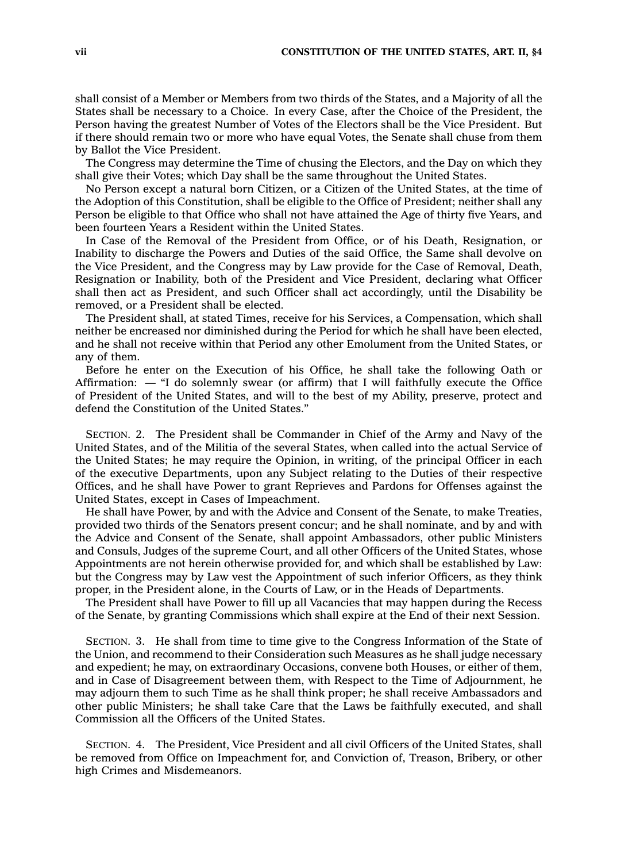shall consist of <sup>a</sup> Member or Members from two thirds of the States, and <sup>a</sup> Majority of all the States shall be necessary to <sup>a</sup> Choice. In every Case, after the Choice of the President, the Person having the greatest Number of Votes of the Electors shall be the Vice President. But if there should remain two or more who have equal Votes, the Senate shall chuse from them by Ballot the Vice President.

The Congress may determine the Time of chusing the Electors, and the Day on which they shall give their Votes; which Day shall be the same throughout the United States.

No Person except <sup>a</sup> natural born Citizen, or <sup>a</sup> Citizen of the United States, at the time of the Adoption of this Constitution, shall be eligible to the Office of President; neither shall any Person be eligible to that Office who shall not have attained the Age of thirty five Years, and been fourteen Years <sup>a</sup> Resident within the United States.

In Case of the Removal of the President from Office, or of his Death, Resignation, or Inability to discharge the Powers and Duties of the said Office, the Same shall devolve on the Vice President, and the Congress may by Law provide for the Case of Removal, Death, Resignation or Inability, both of the President and Vice President, declaring what Officer shall then act as President, and such Officer shall act accordingly, until the Disability be removed, or <sup>a</sup> President shall be elected.

The President shall, at stated Times, receive for his Services, <sup>a</sup> Compensation, which shall neither be encreased nor diminished during the Period for which he shall have been elected, and he shall not receive within that Period any other Emolument from the United States, or any of them.

Before he enter on the Execution of his Office, he shall take the following Oath or Affirmation: — "I do solemnly swear (or affirm) that I will faithfully execute the Office of President of the United States, and will to the best of my Ability, preserve, protect and defend the Constitution of the United States."

SECTION. 2. The President shall be Commander in Chief of the Army and Navy of the United States, and of the Militia of the several States, when called into the actual Service of the United States; he may require the Opinion, in writing, of the principal Officer in each of the executive Departments, upon any Subject relating to the Duties of their respective Offices, and he shall have Power to grant Reprieves and Pardons for Offenses against the United States, except in Cases of Impeachment.

He shall have Power, by and with the Advice and Consent of the Senate, to make Treaties, provided two thirds of the Senators present concur; and he shall nominate, and by and with the Advice and Consent of the Senate, shall appoint Ambassadors, other public Ministers and Consuls, Judges of the supreme Court, and all other Officers of the United States, whose Appointments are not herein otherwise provided for, and which shall be established by Law: but the Congress may by Law vest the Appointment of such inferior Officers, as they think proper, in the President alone, in the Courts of Law, or in the Heads of Departments.

The President shall have Power to fill up all Vacancies that may happen during the Recess of the Senate, by granting Commissions which shall expire at the End of their next Session.

SECTION. 3. He shall from time to time give to the Congress Information of the State of the Union, and recommend to their Consideration such Measures as he shall judge necessary and expedient; he may, on extraordinary Occasions, convene both Houses, or either of them, and in Case of Disagreement between them, with Respect to the Time of Adjournment, he may adjourn them to such Time as he shall think proper; he shall receive Ambassadors and other public Ministers; he shall take Care that the Laws be faithfully executed, and shall Commission all the Officers of the United States.

SECTION. 4. The President, Vice President and all civil Officers of the United States, shall be removed from Office on Impeachment for, and Conviction of, Treason, Bribery, or other high Crimes and Misdemeanors.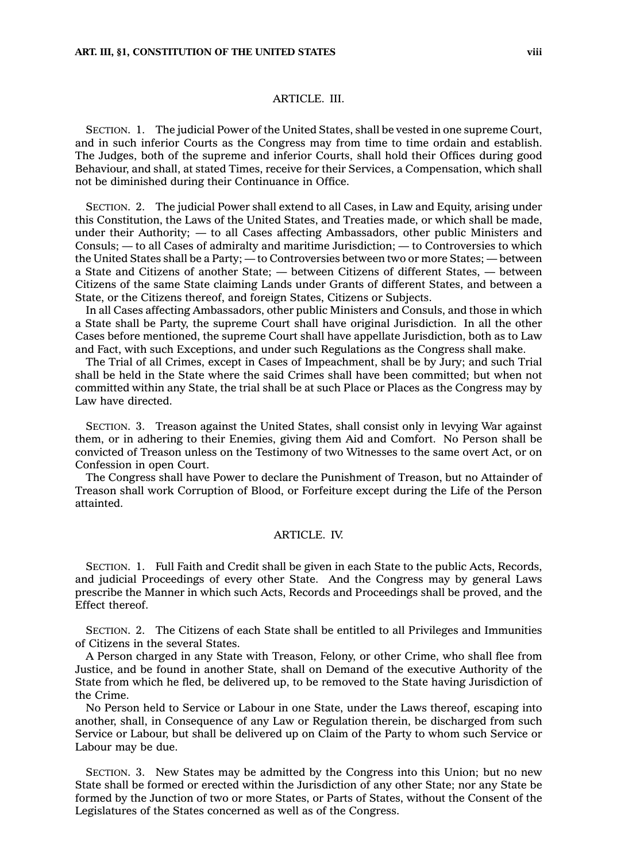## ARTICLE. III.

SECTION. 1. The judicial Power of the United States, shall be vested in one supreme Court, and in such inferior Courts as the Congress may from time to time ordain and establish. The Judges, both of the supreme and inferior Courts, shall hold their Offices during good Behaviour, and shall, at stated Times, receive for their Services, <sup>a</sup> Compensation, which shall not be diminished during their Continuance in Office.

SECTION. 2. The judicial Power shall extend to all Cases, in Law and Equity, arising under this Constitution, the Laws of the United States, and Treaties made, or which shall be made, under their Authority; — to all Cases affecting Ambassadors, other public Ministers and Consuls; — to all Cases of admiralty and maritime Jurisdiction; — to Controversies to which the United States shall be <sup>a</sup> Party; — to Controversies between two or more States; — between <sup>a</sup> State and Citizens of another State; — between Citizens of different States, —between Citizens of the same State claiming Lands under Grants of different States, and between <sup>a</sup> State, or the Citizens thereof, and foreign States, Citizens or Subjects.

In all Cases affecting Ambassadors, other public Ministers and Consuls, and those in which <sup>a</sup> State shall be Party, the supreme Court shall have original Jurisdiction. In all the other Cases before mentioned, the supreme Court shall have appellate Jurisdiction, both as to Law and Fact, with such Exceptions, and under such Regulations as the Congress shall make.

The Trial of all Crimes, except in Cases of Impeachment, shall be by Jury; and such Trial shall be held in the State where the said Crimes shall have been committed; but when not committed within any State, the trial shall be at such Place or Places as the Congress may by Law have directed.

SECTION. 3. Treason against the United States, shall consist only in levying War against them, or in adhering to their Enemies, giving them Aid and Comfort. No Person shall be convicted of Treason unless on the Testimony of two Witnesses to the same overt Act, or on Confession in open Court.

The Congress shall have Power to declare the Punishment of Treason, but no Attainder of Treason shall work Corruption of Blood, or Forfeiture except during the Life of the Person attainted.

## ARTICLE. IV.

SECTION. 1. Full Faith and Credit shall be given in each State to the public Acts, Records, and judicial Proceedings of every other State. And the Congress may by general Laws prescribe the Manner in which such Acts, Records and Proceedings shall be proved, and the Effect thereof.

SECTION. 2. The Citizens of each State shall be entitled to all Privileges and Immunities of Citizens in the several States.

A Person charged in any State with Treason, Felony, or other Crime, who shall flee from Justice, and be found in another State, shall on Demand of the executive Authority of the State from which he fled, be delivered up, to be removed to the State having Jurisdiction of the Crime.

No Person held to Service or Labour in one State, under the Laws thereof, escaping into another, shall, in Consequence of any Law or Regulation therein, be discharged from such Service or Labour, but shall be delivered up on Claim of the Party to whom such Service or Labour may be due.

SECTION. 3. New States may be admitted by the Congress into this Union; but no new State shall be formed or erected within the Jurisdiction of any other State; nor any State be formed by the Junction of two or more States, or Parts of States, without the Consent of the Legislatures of the States concerned as well as of the Congress.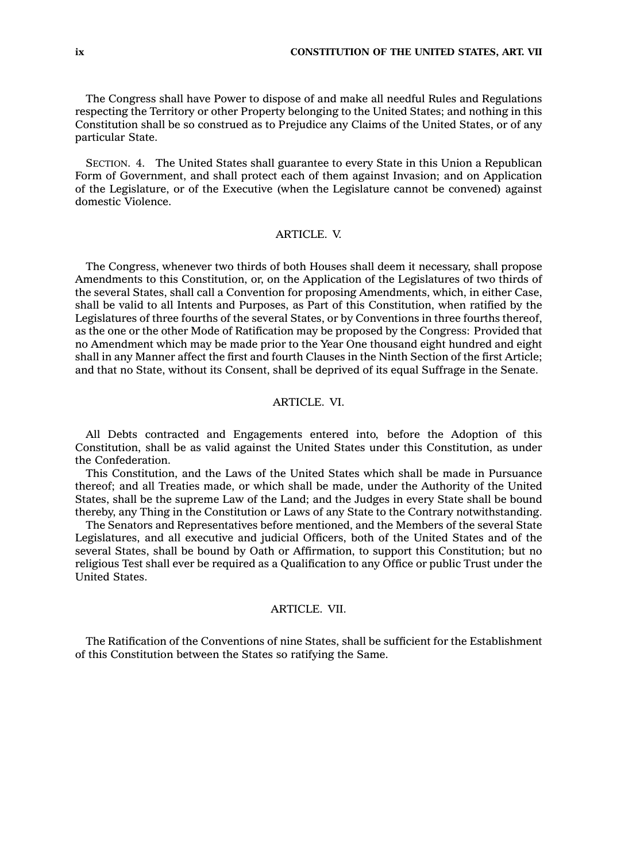The Congress shall have Power to dispose of and make all needful Rules and Regulations respecting the Territory or other Property belonging to the United States; and nothing in this Constitution shall be so construed as to Prejudice any Claims of the United States, or of any particular State.

SECTION. 4. The United States shall guarantee to every State in this Union <sup>a</sup> Republican Form of Government, and shall protect each of them against Invasion; and on Application of the Legislature, or of the Executive (when the Legislature cannot be convened) against domestic Violence.

# ARTICLE. V.

The Congress, whenever two thirds of both Houses shall deem it necessary, shall propose Amendments to this Constitution, or, on the Application of the Legislatures of two thirds of the several States, shall call <sup>a</sup> Convention for proposing Amendments, which, in either Case, shall be valid to all Intents and Purposes, as Part of this Constitution, when ratified by the Legislatures of three fourths of the several States, or by Conventions in three fourths thereof, as the one or the other Mode of Ratification may be proposed by the Congress: Provided that no Amendment which may be made prior to the Year One thousand eight hundred and eight shall in any Manner affect the first and fourth Clauses in the Ninth Section of the first Article; and that no State, without its Consent, shall be deprived of its equal Suffrage in the Senate.

## ARTICLE. VI.

All Debts contracted and Engagements entered into, before the Adoption of this Constitution, shall be as valid against the United States under this Constitution, as under the Confederation.

This Constitution, and the Laws of the United States which shall be made in Pursuance thereof; and all Treaties made, or which shall be made, under the Authority of the United States, shall be the supreme Law of the Land; and the Judges in every State shall be bound thereby, any Thing in the Constitution or Laws of any State to the Contrary notwithstanding.

The Senators and Representatives before mentioned, and the Members of the several State Legislatures, and all executive and judicial Officers, both of the United States and of the several States, shall be bound by Oath or Affirmation, to support this Constitution; but no religious Test shall ever be required as <sup>a</sup> Qualification to any Office or public Trust under the United States.

## ARTICLE. VII.

The Ratification of the Conventions of nine States, shall be sufficient for the Establishment of this Constitution between the States so ratifying the Same.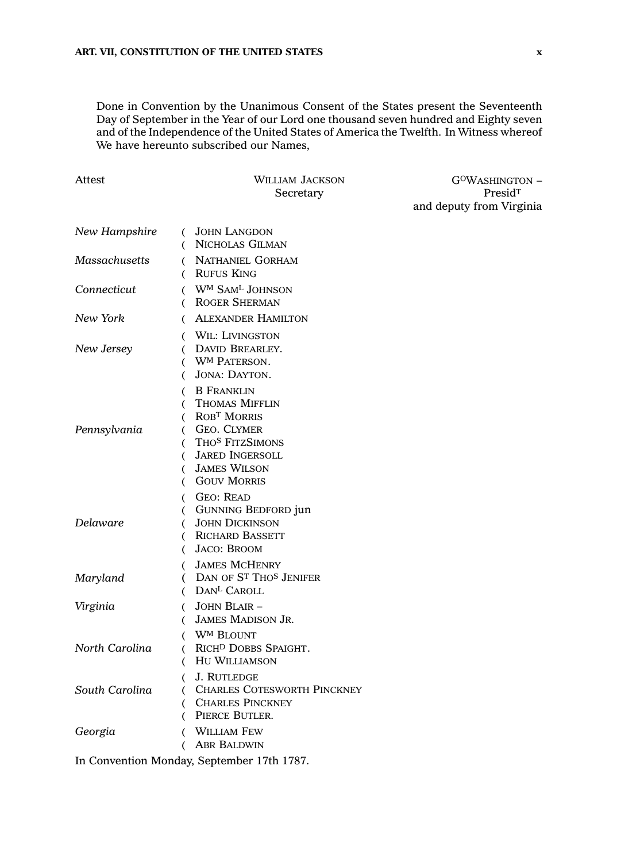Done in Convention by the Unanimous Consent of the States present the Seventeenth Day of September in the Year of our Lord one thousand seven hundred and Eighty seven and of the Independence of the United States of America the Twelfth. In Witness whereof We have hereunto subscribed our Names,

| Attest         | WILLIAM JACKSON<br>Secretary                                                                                                                                                                             | G <sup>o</sup> Washington -<br>Presid <sup>T</sup><br>and deputy from Virginia |
|----------------|----------------------------------------------------------------------------------------------------------------------------------------------------------------------------------------------------------|--------------------------------------------------------------------------------|
|                |                                                                                                                                                                                                          |                                                                                |
| New Hampshire  | <b>JOHN LANGDON</b><br>€<br>NICHOLAS GILMAN<br>€                                                                                                                                                         |                                                                                |
| Massachusetts  | ( NATHANIEL GORHAM<br>( RUFUS KING                                                                                                                                                                       |                                                                                |
| Connecticut    | ( WM SAML JOHNSON<br><b>ROGER SHERMAN</b><br>€                                                                                                                                                           |                                                                                |
| New York       | <b>ALEXANDER HAMILTON</b><br>€                                                                                                                                                                           |                                                                                |
| New Jersey     | WIL: LIVINGSTON<br>€<br>DAVID BREARLEY.<br>€<br><b>WM PATERSON.</b><br>€<br>JONA: DAYTON.<br>€                                                                                                           |                                                                                |
| Pennsylvania   | <b>B</b> FRANKLIN<br><b>THOMAS MIFFLIN</b><br>€<br>(ROBT MORRIS<br><b>GEO. CLYMER</b><br>€<br>THOS FITZSIMONS<br>€<br><b>JARED INGERSOLL</b><br>€<br><b>JAMES WILSON</b><br>(<br><b>GOUV MORRIS</b><br>€ |                                                                                |
| Delaware       | <b>GEO: READ</b><br>€<br><b>GUNNING BEDFORD jun</b><br><sub>(</sub><br><b>JOHN DICKINSON</b><br>€<br>( RICHARD BASSETT<br><b>JACO: BROOM</b><br>(                                                        |                                                                                |
| Maryland       | <b>JAMES MCHENRY</b><br>( DAN OF ST THOS JENIFER<br>DAN <sup>L</sup> CAROLL<br>(                                                                                                                         |                                                                                |
| Virginia       | JOHN BLAIR-<br>(<br>JAMES MADISON JR.<br>(                                                                                                                                                               |                                                                                |
| North Carolina | <b>WM BLOUNT</b><br>RICH <sup>D</sup> DOBBS SPAIGHT.<br>€<br>HU WILLIAMSON<br>(                                                                                                                          |                                                                                |
| South Carolina | <b>J. RUTLEDGE</b><br><b>CHARLES COTESWORTH PINCKNEY</b><br>(<br><b>CHARLES PINCKNEY</b><br>(<br>PIERCE BUTLER.<br>€                                                                                     |                                                                                |
| Georgia        | <b>WILLIAM FEW</b><br>€<br><b>ABR BALDWIN</b><br>(                                                                                                                                                       |                                                                                |
|                | In Convention Monday, September 17th 1787.                                                                                                                                                               |                                                                                |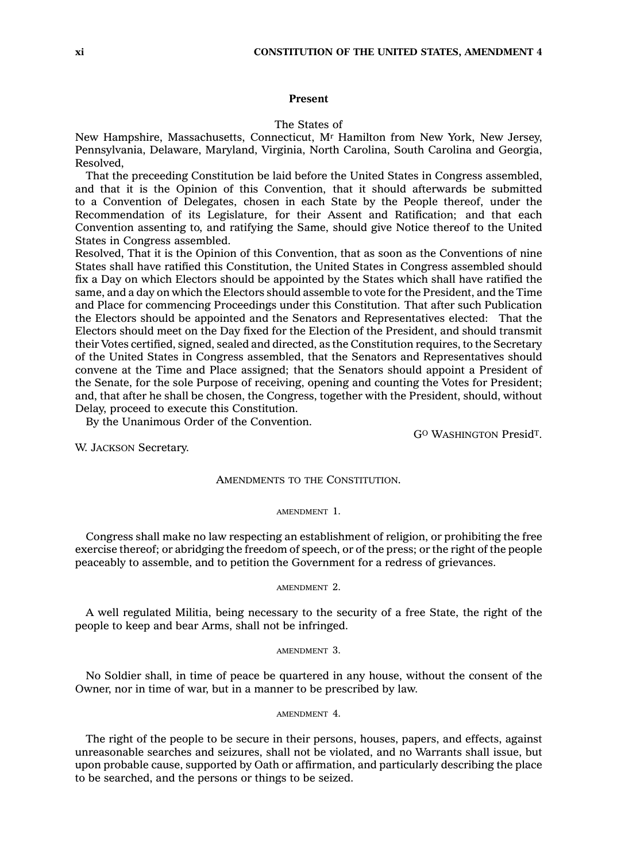## **Present**

### The States of

New Hampshire, Massachusetts, Connecticut, M<sup>r</sup> Hamilton from New York, New Jersey, Pennsylvania, Delaware, Maryland, Virginia, North Carolina, South Carolina and Georgia, Resolved,

That the preceeding Constitution be laid before the United States in Congress assembled, and that it is the Opinion of this Convention, that it should afterwards be submitted to <sup>a</sup> Convention of Delegates, chosen in each State by the People thereof, under the Recommendation of its Legislature, for their Assent and Ratification; and that each Convention assenting to, and ratifying the Same, should give Notice thereof to the United States in Congress assembled.

Resolved, That it is the Opinion of this Convention, that as soon as the Conventions of nine States shall have ratified this Constitution, the United States in Congress assembled should fix <sup>a</sup> Day on which Electors should be appointed by the States which shall have ratified the same, and <sup>a</sup> day on which the Electors should assemble to vote for the President, and the Time and Place for commencing Proceedings under this Constitution. That after such Publication the Electors should be appointed and the Senators and Representatives elected: That the Electors should meet on the Day fixed for the Election of the President, and should transmit their Votes certified, signed, sealed and directed, as the Constitution requires, to the Secretary of the United States in Congress assembled, that the Senators and Representatives should convene at the Time and Place assigned; that the Senators should appoint <sup>a</sup> President of the Senate, for the sole Purpose of receiving, opening and counting the Votes for President; and, that after he shall be chosen, the Congress, together with the President, should, without Delay, proceed to execute this Constitution.

By the Unanimous Order of the Convention.

G<sup>O</sup> WASHINGTON Presid<sup>T</sup>.

W. JACKSON Secretary.

## AMENDMENTS TO THE CONSTITUTION.

#### AMENDMENT 1.

Congress shall make no law respecting an establishment of religion, or prohibiting the free exercise thereof; or abridging the freedom of speech, or of the press; or the right of the people peaceably to assemble, and to petition the Government for <sup>a</sup> redress of grievances.

#### AMENDMENT 2.

A well regulated Militia, being necessary to the security of <sup>a</sup> free State, the right of the people to keep and bear Arms, shall not be infringed.

#### AMENDMENT 3.

No Soldier shall, in time of peace be quartered in any house, without the consent of the Owner, nor in time of war, but in <sup>a</sup> manner to be prescribed by law.

#### AMENDMENT 4.

The right of the people to be secure in their persons, houses, papers, and effects, against unreasonable searches and seizures, shall not be violated, and no Warrants shall issue, but upon probable cause, supported by Oath or affirmation, and particularly describing the place to be searched, and the persons or things to be seized.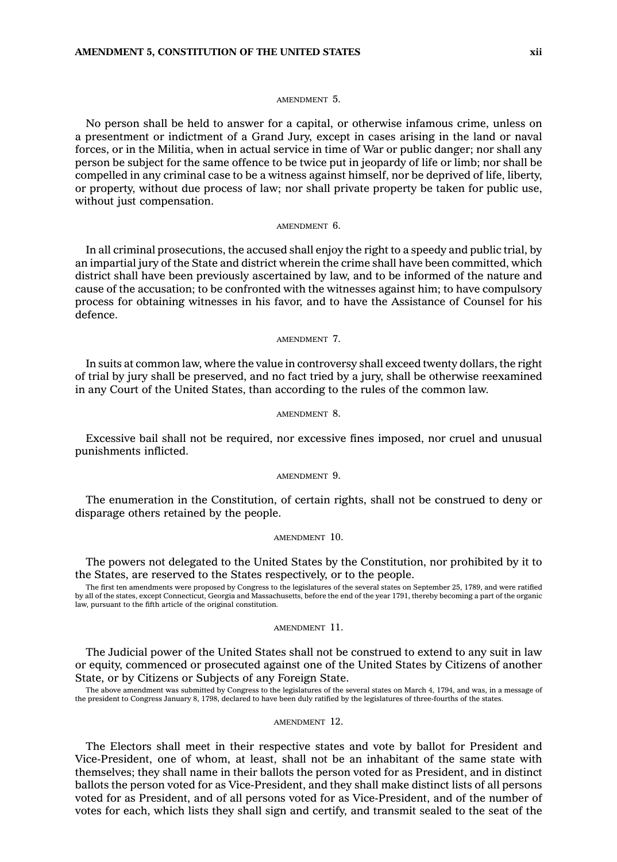#### AMENDMENT 5.

No person shall be held to answer for <sup>a</sup> capital, or otherwise infamous crime, unless on <sup>a</sup> presentment or indictment of <sup>a</sup> Grand Jury, except in cases arising in the land or naval forces, or in the Militia, when in actual service in time of War or public danger; nor shall any person be subject for the same offence to be twice put in jeopardy of life or limb; nor shall be compelled in any criminal case to be <sup>a</sup> witness against himself, nor be deprived of life, liberty, or property, without due process of law; nor shall private property be taken for public use, without just compensation.

#### AMENDMENT 6.

In all criminal prosecutions, the accused shall enjoy the right to <sup>a</sup> speedy and public trial, by an impartial jury of the State and district wherein the crime shall have been committed, which district shall have been previously ascertained by law, and to be informed of the nature and cause of the accusation; to be confronted with the witnesses against him; to have compulsory process for obtaining witnesses in his favor, and to have the Assistance of Counsel for his defence.

AMENDMENT 7.

In suits at common law, where the value in controversy shall exceed twenty dollars, the right of trial by jury shall be preserved, and no fact tried by <sup>a</sup> jury, shall be otherwise reexamined in any Court of the United States, than according to the rules of the common law.

#### AMENDMENT 8.

Excessive bail shall not be required, nor excessive fines imposed, nor cruel and unusual punishments inflicted.

#### AMENDMENT 9.

The enumeration in the Constitution, of certain rights, shall not be construed to deny or disparage others retained by the people.

#### AMENDMENT 10.

The powers not delegated to the United States by the Constitution, nor prohibited by it to the States, are reserved to the States respectively, or to the people.

The first ten amendments were proposed by Congress to the legislatures of the several states on September 25, 1789, and were ratified<br>by all of the states, except Connecticut, Georgia and Massachusetts, before the end of t law, pursuant to the fifth article of the original constitution.

## AMENDMENT 11.

The Judicial power of the United States shall not be construed to extend to any suit in law or equity, commenced or prosecuted against one of the United States by Citizens of another State, or by Citizens or Subjects of any Foreign State.

The above amendment was submitted by Congress to the legislatures of the several states on March 4, 1794, and was, in <sup>a</sup> message of the president to Congress January 8, 1798, declared to have been duly ratified by the legislatures of three-fourths of the states.

#### AMENDMENT 12.

The Electors shall meet in their respective states and vote by ballot for President and Vice-President, one of whom, at least, shall not be an inhabitant of the same state with themselves; they shall name in their ballots the person voted for as President, and in distinct ballots the person voted for as Vice-President, and they shall make distinct lists of all persons voted for as President, and of all persons voted for as Vice-President, and of the number of votes for each, which lists they shall sign and certify, and transmit sealed to the seat of the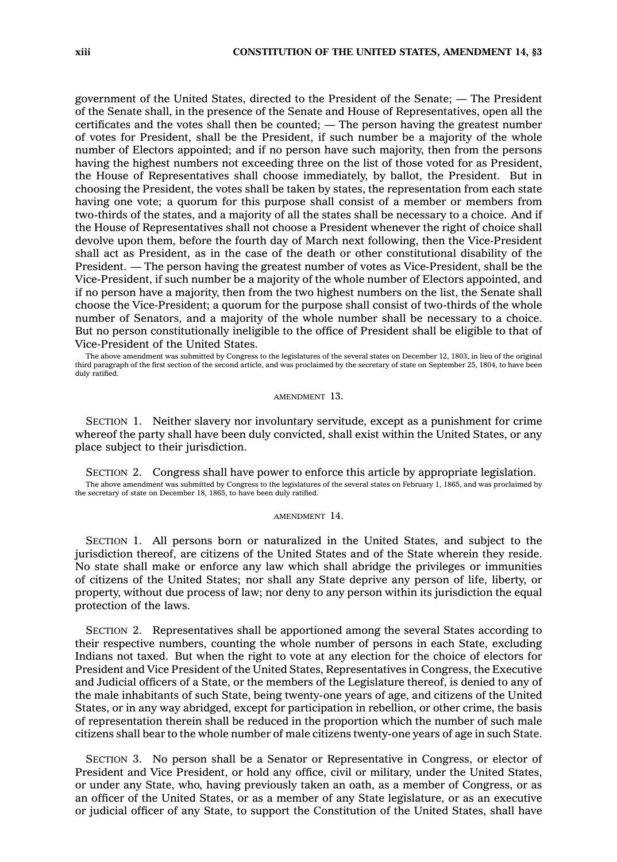government of the United States, directed to the President of the Senate; —The President of the Senate shall, in the presence of the Senate and House of Representatives, open all the certificates and the votes shall then be counted; —The person having the greatest number of votes for President, shall be the President, if such number be <sup>a</sup> majority of the whole number of Electors appointed; and if no person have such majority, then from the persons having the highest numbers not exceeding three on the list of those voted for as President, the House of Representatives shall choose immediately, by ballot, the President. But in choosing the President, the votes shall be taken by states, the representation from each state having one vote; <sup>a</sup> quorum for this purpose shall consist of <sup>a</sup> member or members from two-thirds of the states, and <sup>a</sup> majority of all the states shall be necessary to <sup>a</sup> choice. And if the House of Representatives shall not choose <sup>a</sup> President whenever the right of choice shall devolve upon them, before the fourth day of March next following, then the Vice-President shall act as President, as in the case of the death or other constitutional disability of the President. —The person having the greatest number of votes as Vice-President, shall be the Vice-President, if such number be <sup>a</sup> majority of the whole number of Electors appointed, and if no person have <sup>a</sup> majority, then from the two highest numbers on the list, the Senate shall choose the Vice-President; <sup>a</sup> quorum for the purpose shall consist of two-thirds of the whole number of Senators, and <sup>a</sup> majority of the whole number shall be necessary to <sup>a</sup> choice. But no person constitutionally ineligible to the office of President shall be eligible to that of Vice-President of the United States.

The above amendment was submitted by Congress to the legislatures of the several states on December 12, 1803, in lieu of the original third paragraph of the first section of the second article, and was proclaimed by the secretary of state on September 25, 1804, to have been duly ratified.

AMENDMENT 13.

SECTION 1. Neither slavery nor involuntary servitude, except as <sup>a</sup> punishment for crime whereof the party shall have been duly convicted, shall exist within the United States, or any place subject to their jurisdiction.

SECTION 2. Congress shall have power to enforce this article by appropriate legislation. The above amendment was submitted by Congress to the legislatures of the several states on February 1, 1865, and was proclaimed by the secretary of state on December 18, 1865, to have been duly ratified.

#### AMENDMENT 14.

SECTION 1. All persons born or naturalized in the United States, and subject to the jurisdiction thereof, are citizens of the United States and of the State wherein they reside. No state shall make or enforce any law which shall abridge the privileges or immunities of citizens of the United States; nor shall any State deprive any person of life, liberty, or property, without due process of law; nor deny to any person within its jurisdiction the equal protection of the laws.

SECTION 2. Representatives shall be apportioned among the several States according to their respective numbers, counting the whole number of persons in each State, excluding Indians not taxed. But when the right to vote at any election for the choice of electors for President and Vice President of the United States, Representatives in Congress, the Executive and Judicial officers of <sup>a</sup> State, or the members of the Legislature thereof, is denied to any of the male inhabitants of such State, being twenty-one years of age, and citizens of the United States, or in any way abridged, except for participation in rebellion, or other crime, the basis of representation therein shall be reduced in the proportion which the number of such male citizens shall bear to the whole number of male citizens twenty-one years of age in such State.

SECTION 3. No person shall be <sup>a</sup> Senator or Representative in Congress, or elector of President and Vice President, or hold any office, civil or military, under the United States, or under any State, who, having previously taken an oath, as <sup>a</sup> member of Congress, or as an officer of the United States, or as <sup>a</sup> member of any State legislature, or as an executive or judicial officer of any State, to support the Constitution of the United States, shall have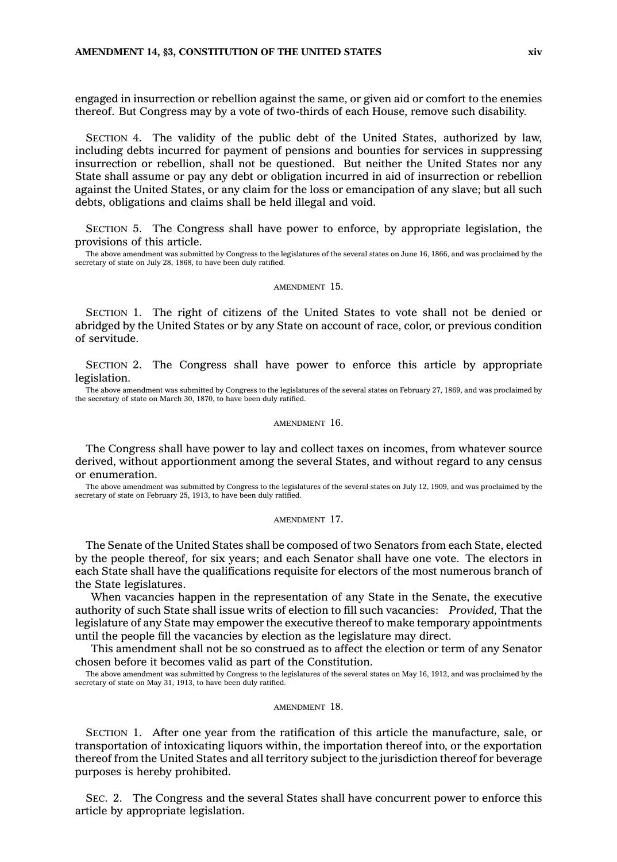engaged in insurrection or rebellion against the same, or given aid or comfort to the enemies thereof. But Congress may by <sup>a</sup> vote of two-thirds of each House, remove such disability.

SECTION 4. The validity of the public debt of the United States, authorized by law, including debts incurred for payment of pensions and bounties for services in suppressing insurrection or rebellion, shall not be questioned. But neither the United States nor any State shall assume or pay any debt or obligation incurred in aid of insurrection or rebellion against the United States, or any claim for the loss or emancipation of any slave; but all such debts, obligations and claims shall be held illegal and void.

SECTION 5. The Congress shall have power to enforce, by appropriate legislation, the provisions of this article.

The above amendment was submitted by Congress to the legislatures of the several states on June 16, 1866, and was proclaimed by the secretary of state on July 28, 1868, to have been duly ratified.

#### AMENDMENT 15.

SECTION 1. The right of citizens of the United States to vote shall not be denied or abridged by the United States or by any State on account of race, color, or previous condition of servitude.

SECTION 2. The Congress shall have power to enforce this article by appropriate legislation.

The above amendment was submitted by Congress to the legislatures of the several states on February 27, 1869, and was proclaimed by the secretary of state on March 30, 1870, to have been duly ratified.

#### AMENDMENT 16.

The Congress shall have power to lay and collect taxes on incomes, from whatever source derived, without apportionment among the several States, and without regard to any census or enumeration.

The above amendment was submitted by Congress to the legislatures of the several states on July 12, 1909, and was proclaimed by the secretary of state on February 25, 1913, to have been duly ratified.

#### AMENDMENT 17.

The Senate of the United States shall be composed of two Senators from each State, elected by the people thereof, for six years; and each Senator shall have one vote. The electors in each State shall have the qualifications requisite for electors of the most numerous branch of the State legislatures.

When vacancies happen in the representation of any State in the Senate, the executive authority of such State shall issue writs of election to fill such vacancies: *Provided,* That the legislature of any State may empower the executive thereof to make temporary appointments until the people fill the vacancies by election as the legislature may direct.

This amendment shall not be so construed as to affect the election or term of any Senator chosen before it becomes valid as part of the Constitution.

The above amendment was submitted by Congress to the legislatures of the several states on May 16, 1912, and was proclaimed by the secretary of state on May 31, 1913, to have been duly ratified.

#### AMENDMENT 18.

SECTION 1. After one year from the ratification of this article the manufacture, sale, or transportation of intoxicating liquors within, the importation thereof into, or the exportation thereof from the United States and all territory subject to the jurisdiction thereof for beverage purposes is hereby prohibited.

SEC. 2. The Congress and the several States shall have concurrent power to enforce this article by appropriate legislation.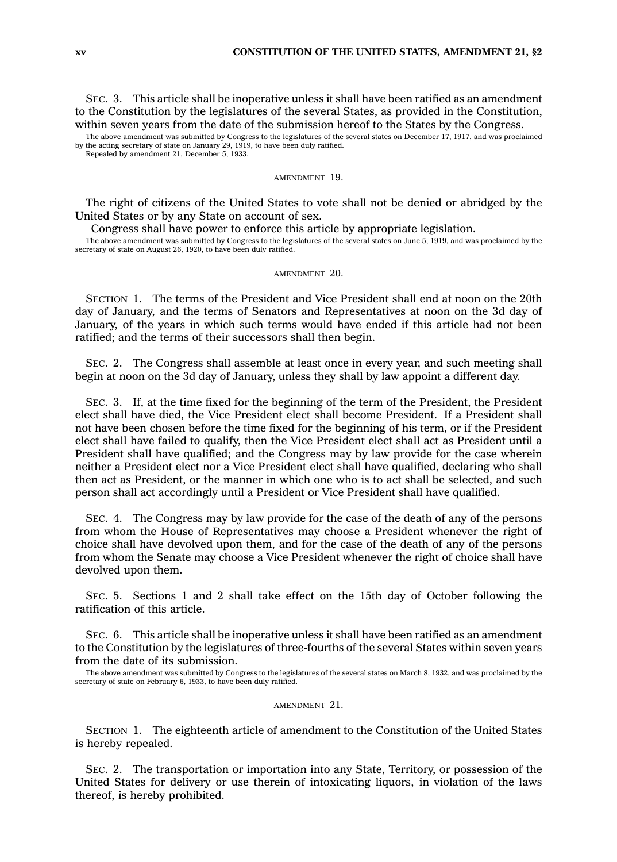SEC. 3. This article shall be inoperative unless it shall have been ratified as an amendment to the Constitution by the legislatures of the several States, as provided in the Constitution, within seven years from the date of the submission hereof to the States by the Congress.

The above amendment was submitted by Congress to the legislatures of the several states on December 17, 1917, and was proclaimed by the acting secretary of state on January 29, 1919, to have been duly ratified. Repealed by amendment 21, December 5, 1933.

AMENDMENT 19.

The right of citizens of the United States to vote shall not be denied or abridged by the United States or by any State on account of sex.

Congress shall have power to enforce this article by appropriate legislation.

The above amendment was submitted by Congress to the legislatures of the several states on June 5, 1919, and was proclaimed by the secretary of state on August 26, 1920, to have been duly ratified.

#### AMENDMENT 20.

SECTION 1. The terms of the President and Vice President shall end at noon on the 20th day of January, and the terms of Senators and Representatives at noon on the 3d day of January, of the years in which such terms would have ended if this article had not been ratified; and the terms of their successors shall then begin.

SEC. 2. The Congress shall assemble at least once in every year, and such meeting shall begin at noon on the 3d day of January, unless they shall by law appoint <sup>a</sup> different day.

SEC. 3. If, at the time fixed for the beginning of the term of the President, the President elect shall have died, the Vice President elect shall become President. If <sup>a</sup> President shall not have been chosen before the time fixed for the beginning of his term, or if the President elect shall have failed to qualify, then the Vice President elect shall act as President until <sup>a</sup> President shall have qualified; and the Congress may by law provide for the case wherein neither <sup>a</sup> President elect nor <sup>a</sup> Vice President elect shall have qualified, declaring who shall then act as President, or the manner in which one who is to act shall be selected, and such person shall act accordingly until <sup>a</sup> President or Vice President shall have qualified.

SEC. 4. The Congress may by law provide for the case of the death of any of the persons from whom the House of Representatives may choose <sup>a</sup> President whenever the right of choice shall have devolved upon them, and for the case of the death of any of the persons from whom the Senate may choose <sup>a</sup> Vice President whenever the right of choice shall have devolved upon them.

SEC. 5. Sections 1 and 2 shall take effect on the 15th day of October following the ratification of this article.

SEC. 6. This article shall be inoperative unless it shall have been ratified as an amendment to the Constitution by the legislatures of three-fourths of the several States within seven years from the date of its submission.

The above amendment was submitted by Congress to the legislatures of the several states on March 8, 1932, and was proclaimed by the secretary of state on February 6, 1933, to have been duly ratified.

## AMENDMENT 21.

SECTION 1. The eighteenth article of amendment to the Constitution of the United States is hereby repealed.

SEC. 2. The transportation or importation into any State, Territory, or possession of the United States for delivery or use therein of intoxicating liquors, in violation of the laws thereof, is hereby prohibited.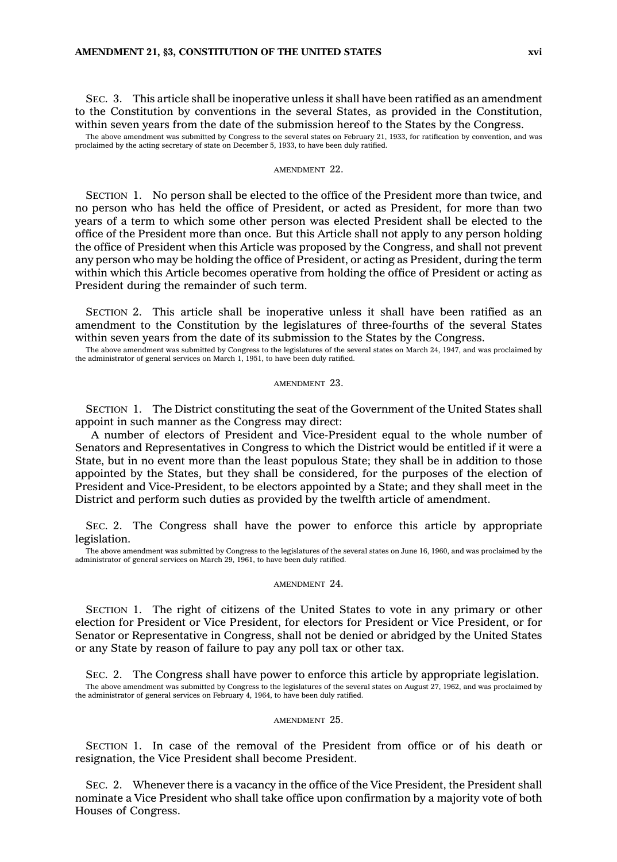SEC. 3. This article shall be inoperative unless it shall have been ratified as an amendment to the Constitution by conventions in the several States, as provided in the Constitution, within seven years from the date of the submission hereof to the States by the Congress.

The above amendment was submitted by Congress to the several states on February 21, 1933, for ratification by convention, and was proclaimed by the acting secretary of state on December 5, 1933, to have been duly ratified.

#### AMENDMENT 22.

SECTION 1. No person shall be elected to the office of the President more than twice, and no person who has held the office of President, or acted as President, for more than two years of <sup>a</sup> term to which some other person was elected President shall be elected to the office of the President more than once. But this Article shall not apply to any person holding the office of President when this Article was proposed by the Congress, and shall not prevent any person who may be holding the office of President, or acting as President, during the term within which this Article becomes operative from holding the office of President or acting as President during the remainder of such term.

SECTION 2. This article shall be inoperative unless it shall have been ratified as an amendment to the Constitution by the legislatures of three-fourths of the several States within seven years from the date of its submission to the States by the Congress.

The above amendment was submitted by Congress to the legislatures of the several states on March 24, 1947, and was proclaimed by the administrator of general services on March 1, 1951, to have been duly ratified.

#### AMENDMENT 23.

SECTION 1. The District constituting the seat of the Government of the United States shall appoint in such manner as the Congress may direct:

A number of electors of President and Vice-President equal to the whole number of Senators and Representatives in Congress to which the District would be entitled if it were <sup>a</sup> State, but in no event more than the least populous State; they shall be in addition to those appointed by the States, but they shall be considered, for the purposes of the election of President and Vice-President, to be electors appointed by <sup>a</sup> State; and they shall meet in the District and perform such duties as provided by the twelfth article of amendment.

SEC. 2. The Congress shall have the power to enforce this article by appropriate legislation.

The above amendment was submitted by Congress to the legislatures of the several states on June 16, 1960, and was proclaimed by the administrator of general services on March 29, 1961, to have been duly ratified.

#### AMENDMENT 24.

SECTION 1. The right of citizens of the United States to vote in any primary or other election for President or Vice President, for electors for President or Vice President, or for Senator or Representative in Congress, shall not be denied or abridged by the United States or any State by reason of failure to pay any poll tax or other tax.

SEC. 2. The Congress shall have power to enforce this article by appropriate legislation. The above amendment was submitted by Congress to the legislatures of the several states on August 27, 1962, and was proclaimed by the administrator of general services on February 4, 1964, to have been duly ratified.

#### AMENDMENT 25.

SECTION 1. In case of the removal of the President from office or of his death or resignation, the Vice President shall become President.

SEC. 2. Whenever there is <sup>a</sup> vacancy in the office of the Vice President, the President shall nominate <sup>a</sup> Vice President who shall take office upon confirmation by <sup>a</sup> majority vote of both Houses of Congress.